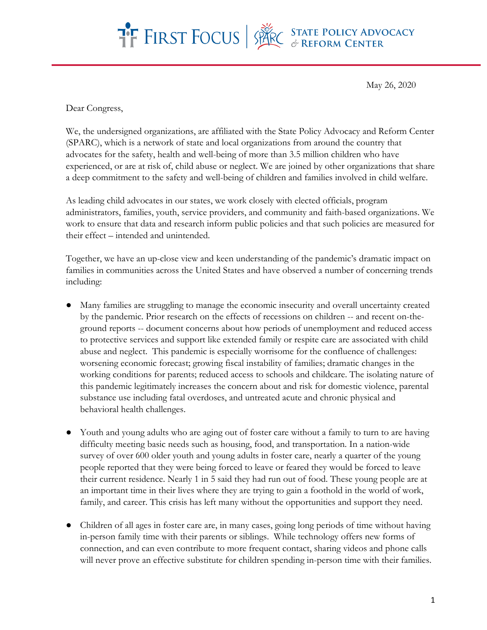

May 26, 2020

Dear Congress,

We, the undersigned organizations, are affiliated with the State Policy Advocacy and Reform Center (SPARC), which is a network of state and local organizations from around the country that advocates for the safety, health and well-being of more than 3.5 million children who have experienced, or are at risk of, child abuse or neglect. We are joined by other organizations that share a deep commitment to the safety and well-being of children and families involved in child welfare.

As leading child advocates in our states, we work closely with elected officials, program administrators, families, youth, service providers, and community and faith-based organizations. We work to ensure that data and research inform public policies and that such policies are measured for their effect – intended and unintended.

Together, we have an up-close view and keen understanding of the pandemic's dramatic impact on families in communities across the United States and have observed a number of concerning trends including:

- Many families are struggling to manage the economic insecurity and overall uncertainty created by the pandemic. Prior research on the effects of recessions on children -- and recent on-theground reports -- document concerns about how periods of unemployment and reduced access to protective services and support like extended family or respite care are associated with child abuse and neglect. This pandemic is especially worrisome for the confluence of challenges: worsening economic forecast; growing fiscal instability of families; dramatic changes in the working conditions for parents; reduced access to schools and childcare. The isolating nature of this pandemic legitimately increases the concern about and risk for domestic violence, parental substance use including fatal overdoses, and untreated acute and chronic physical and behavioral health challenges.
- Youth and young adults who are aging out of foster care without a family to turn to are having difficulty meeting basic needs such as housing, food, and transportation. In a nation-wide survey of over 600 older youth and young adults in foster care, nearly a quarter of the young people reported that they were being forced to leave or feared they would be forced to leave their current residence. Nearly 1 in 5 said they had run out of food. These young people are at an important time in their lives where they are trying to gain a foothold in the world of work, family, and career. This crisis has left many without the opportunities and support they need.
- Children of all ages in foster care are, in many cases, going long periods of time without having in-person family time with their parents or siblings. While technology offers new forms of connection, and can even contribute to more frequent contact, sharing videos and phone calls will never prove an effective substitute for children spending in-person time with their families.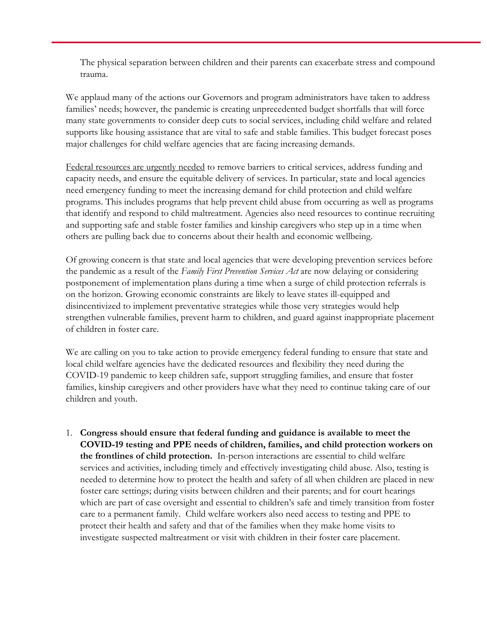The physical separation between children and their parents can exacerbate stress and compound trauma.

We applaud many of the actions our Governors and program administrators have taken to address families' needs; however, the pandemic is creating unprecedented budget shortfalls that will force many state governments to consider deep cuts to social services, including child welfare and related supports like housing assistance that are vital to safe and stable families. This budget forecast poses major challenges for child welfare agencies that are facing increasing demands.

Federal resources are urgently needed to remove barriers to critical services, address funding and capacity needs, and ensure the equitable delivery of services. In particular, state and local agencies need emergency funding to meet the increasing demand for child protection and child welfare programs. This includes programs that help prevent child abuse from occurring as well as programs that identify and respond to child maltreatment. Agencies also need resources to continue recruiting and supporting safe and stable foster families and kinship caregivers who step up in a time when others are pulling back due to concerns about their health and economic wellbeing.

Of growing concern is that state and local agencies that were developing prevention services before the pandemic as a result of the *Family First Prevention Services Act* are now delaying or considering postponement of implementation plans during a time when a surge of child protection referrals is on the horizon. Growing economic constraints are likely to leave states ill-equipped and disincentivized to implement preventative strategies while those very strategies would help strengthen vulnerable families, prevent harm to children, and guard against inappropriate placement of children in foster care.

We are calling on you to take action to provide emergency federal funding to ensure that state and local child welfare agencies have the dedicated resources and flexibility they need during the COVID-19 pandemic to keep children safe, support struggling families, and ensure that foster families, kinship caregivers and other providers have what they need to continue taking care of our children and youth.

1. **Congress should ensure that federal funding and guidance is available to meet the COVID-19 testing and PPE needs of children, families, and child protection workers on the frontlines of child protection.** In-person interactions are essential to child welfare services and activities, including timely and effectively investigating child abuse. Also, testing is needed to determine how to protect the health and safety of all when children are placed in new foster care settings; during visits between children and their parents; and for court hearings which are part of case oversight and essential to children's safe and timely transition from foster care to a permanent family. Child welfare workers also need access to testing and PPE to protect their health and safety and that of the families when they make home visits to investigate suspected maltreatment or visit with children in their foster care placement.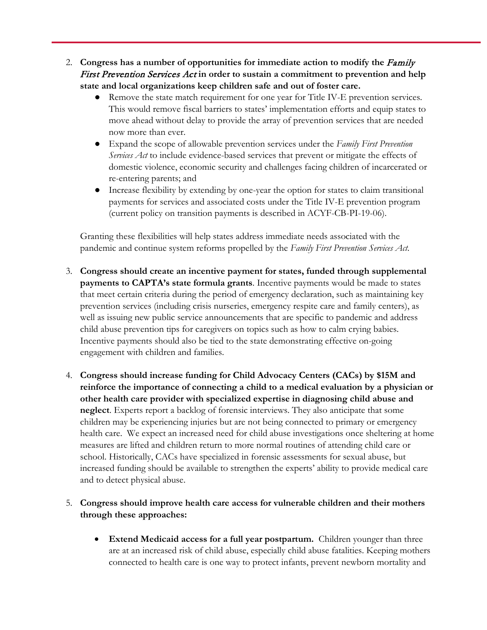- 2. **Congress has a number of opportunities for immediate action to modify the** Family First Prevention Services Act **in order to sustain a commitment to prevention and help state and local organizations keep children safe and out of foster care.** 
	- Remove the state match requirement for one year for Title IV-E prevention services. This would remove fiscal barriers to states' implementation efforts and equip states to move ahead without delay to provide the array of prevention services that are needed now more than ever.
	- Expand the scope of allowable prevention services under the *Family First Prevention Services Act* to include evidence-based services that prevent or mitigate the effects of domestic violence, economic security and challenges facing children of incarcerated or re-entering parents; and
	- Increase flexibility by extending by one-year the option for states to claim transitional payments for services and associated costs under the Title IV-E prevention program (current policy on transition payments is described in ACYF-CB-PI-19-06).

Granting these flexibilities will help states address immediate needs associated with the pandemic and continue system reforms propelled by the *Family First Prevention Services Act*.

- 3. **Congress should create an incentive payment for states, funded through supplemental payments to CAPTA's state formula grants**. Incentive payments would be made to states that meet certain criteria during the period of emergency declaration, such as maintaining key prevention services (including crisis nurseries, emergency respite care and family centers), as well as issuing new public service announcements that are specific to pandemic and address child abuse prevention tips for caregivers on topics such as how to calm crying babies. Incentive payments should also be tied to the state demonstrating effective on-going engagement with children and families.
- 4. **Congress should increase funding for Child Advocacy Centers (CACs) by \$15M and reinforce the importance of connecting a child to a medical evaluation by a physician or other health care provider with specialized expertise in diagnosing child abuse and neglect**. Experts report a backlog of forensic interviews. They also anticipate that some children may be experiencing injuries but are not being connected to primary or emergency health care. We expect an increased need for child abuse investigations once sheltering at home measures are lifted and children return to more normal routines of attending child care or school. Historically, CACs have specialized in forensic assessments for sexual abuse, but increased funding should be available to strengthen the experts' ability to provide medical care and to detect physical abuse.

## 5. **Congress should improve health care access for vulnerable children and their mothers through these approaches:**

• **Extend Medicaid access for a full year postpartum.** Children younger than three are at an increased risk of child abuse, especially child abuse fatalities. Keeping mothers connected to health care is one way to protect infants, prevent newborn mortality and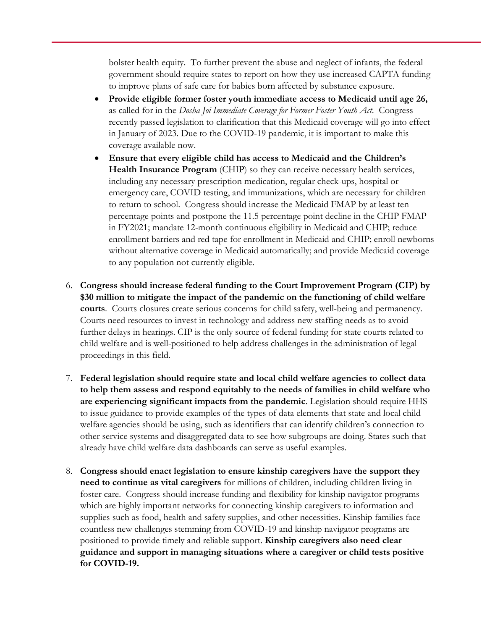bolster health equity. To further prevent the abuse and neglect of infants, the federal government should require states to report on how they use increased CAPTA funding to improve plans of safe care for babies born affected by substance exposure.

- **Provide eligible former foster youth immediate access to Medicaid until age 26,** as called for in the *Dosha Joi Immediate Coverage for Former Foster Youth Act*. Congress recently passed legislation to clarification that this Medicaid coverage will go into effect in January of 2023. Due to the COVID-19 pandemic, it is important to make this coverage available now.
- **Ensure that every eligible child has access to Medicaid and the Children's Health Insurance Program** (CHIP) so they can receive necessary health services, including any necessary prescription medication, regular check-ups, hospital or emergency care, COVID testing, and immunizations, which are necessary for children to return to school. Congress should increase the Medicaid FMAP by at least ten percentage points and postpone the 11.5 percentage point decline in the CHIP FMAP in FY2021; mandate 12-month continuous eligibility in Medicaid and CHIP; reduce enrollment barriers and red tape for enrollment in Medicaid and CHIP; enroll newborns without alternative coverage in Medicaid automatically; and provide Medicaid coverage to any population not currently eligible.
- 6. **Congress should increase federal funding to the Court Improvement Program (CIP) by \$30 million to mitigate the impact of the pandemic on the functioning of child welfare courts**. Courts closures create serious concerns for child safety, well-being and permanency. Courts need resources to invest in technology and address new staffing needs as to avoid further delays in hearings. CIP is the only source of federal funding for state courts related to child welfare and is well-positioned to help address challenges in the administration of legal proceedings in this field.
- 7. **Federal legislation should require state and local child welfare agencies to collect data to help them assess and respond equitably to the needs of families in child welfare who are experiencing significant impacts from the pandemic**. Legislation should require HHS to issue guidance to provide examples of the types of data elements that state and local child welfare agencies should be using, such as identifiers that can identify children's connection to other service systems and disaggregated data to see how subgroups are doing. States such that already have child welfare data dashboards can serve as useful examples.
- 8. **Congress should enact legislation to ensure kinship caregivers have the support they need to continue as vital caregivers** for millions of children, including children living in foster care. Congress should increase funding and flexibility for kinship navigator programs which are highly important networks for connecting kinship caregivers to information and supplies such as food, health and safety supplies, and other necessities. Kinship families face countless new challenges stemming from COVID-19 and kinship navigator programs are positioned to provide timely and reliable support. **Kinship caregivers also need clear guidance and support in managing situations where a caregiver or child tests positive for COVID-19.**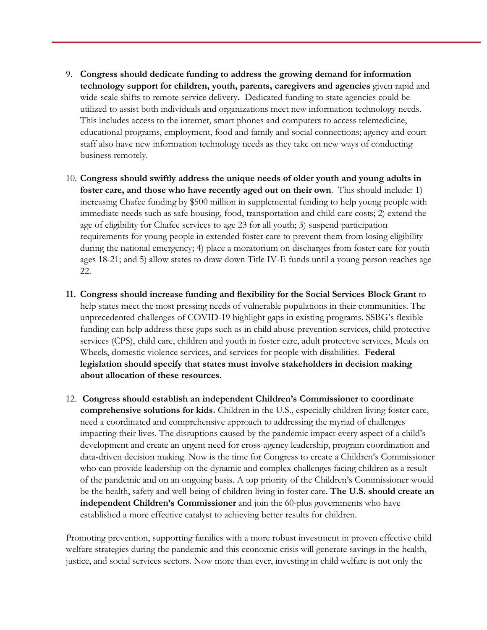- 9. **Congress should dedicate funding to address the growing demand for information technology support for children, youth, parents, caregivers and agencies** given rapid and wide-scale shifts to remote service delivery**.** Dedicated funding to state agencies could be utilized to assist both individuals and organizations meet new information technology needs. This includes access to the internet, smart phones and computers to access telemedicine, educational programs, employment, food and family and social connections; agency and court staff also have new information technology needs as they take on new ways of conducting business remotely.
- 10. **Congress should swiftly address the unique needs of older youth and young adults in foster care, and those who have recently aged out on their own**. This should include: 1) increasing Chafee funding by \$500 million in supplemental funding to help young people with immediate needs such as safe housing, food, transportation and child care costs; 2) extend the age of eligibility for Chafee services to age 23 for all youth; 3) suspend participation requirements for young people in extended foster care to prevent them from losing eligibility during the national emergency; 4) place a moratorium on discharges from foster care for youth ages 18-21; and 5) allow states to draw down Title IV-E funds until a young person reaches age 22.
- **11. Congress should increase funding and flexibility for the Social Services Block Grant** to help states meet the most pressing needs of vulnerable populations in their communities. The unprecedented challenges of COVID-19 highlight gaps in existing programs. SSBG's flexible funding can help address these gaps such as in child abuse prevention services, child protective services (CPS), child care, children and youth in foster care, adult protective services, Meals on Wheels, domestic violence services, and services for people with disabilities. **Federal legislation should specify that states must involve stakeholders in decision making about allocation of these resources.**
- 12. **Congress should establish an independent Children's Commissioner to coordinate comprehensive solutions for kids.** Children in the U.S., especially children living foster care, need a coordinated and comprehensive approach to addressing the myriad of challenges impacting their lives. The disruptions caused by the pandemic impact every aspect of a child's development and create an urgent need for cross-agency leadership, program coordination and data-driven decision making. Now is the time for Congress to create a Children's Commissioner who can provide leadership on the dynamic and complex challenges facing children as a result of the pandemic and on an ongoing basis. A top priority of the Children's Commissioner would be the health, safety and well-being of children living in foster care. **The U.S. should create an independent Children's Commissioner** and join the 60-plus governments who have established a more effective catalyst to achieving better results for children.

Promoting prevention, supporting families with a more robust investment in proven effective child welfare strategies during the pandemic and this economic crisis will generate savings in the health, justice, and social services sectors. Now more than ever, investing in child welfare is not only the